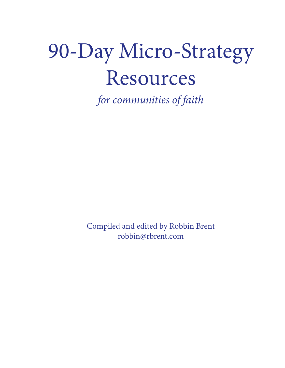# 90-Day Micro-Strategy Resources

*for communities of faith*

Compiled and edited by Robbin Brent robbin@rbrent.com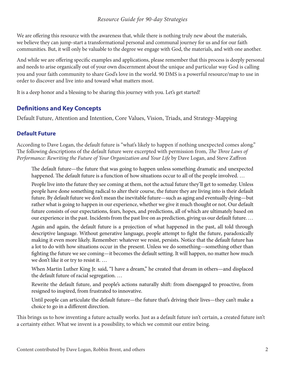We are offering this resource with the awareness that, while there is nothing truly new about the materials, we believe they can jump-start a transformational personal and communal journey for us and for our faith communities. But, it will only be valuable to the degree we engage with God, the materials, and with one another.

And while we are offering specific examples and applications, please remember that this process is deeply personal and needs to arise organically out of your own discernment about the unique and particular way God is calling you and your faith community to share God's love in the world. 90 DMS is a powerful resource/map to use in order to discover and live into and toward what matters most.

It is a deep honor and a blessing to be sharing this journey with you. Let's get started!

#### **Definitions and Key Concepts**

Default Future, Attention and Intention, Core Values, Vision, Triads, and Strategy-Mapping

#### **Default Future**

According to Dave Logan, the default future is "what's likely to happen if nothing unexpected comes along." The following descriptions of the default future were excerpted with permission from, *The Three Laws of* Performance: Rewriting the Future of Your Organization and Your Life by Dave Logan, and Steve Zaffron

The default future—the future that was going to happen unless something dramatic and unexpected happened. The default future is a function of how situations occur to all of the people involved. ...

People live into the future they see coming at them, not the actual future they'll get to someday. Unless people have done something radical to alter their course, the future they are living into is their default future. By default future we don't mean the inevitable future—such as aging and eventually dying—but rather what is going to happen in our experience, whether we give it much thought or not. Our default future consists of our expectations, fears, hopes, and predictions, all of which are ultimately based on our experience in the past. Incidents from the past live on as prediction, giving us our default future. …

Again and again, the default future is a projection of what happened in the past, all told through descriptive language. Without generative language, people attempt to fight the future, paradoxically making it even more likely. Remember: whatever we resist, persists. Notice that the default future has a lot to do with how situations occur in the present. Unless we do something—something other than fighting the future we see coming—it becomes the default setting. It will happen, no matter how much we don't like it or try to resist it. …

When Martin Luther King Jr. said, "I have a dream," he created that dream in others—and displaced the default future of racial segregation. …

Rewrite the default future, and people's actions naturally shift: from disengaged to proactive, from resigned to inspired, from frustrated to innovative.

Until people can articulate the default future—the future that's driving their lives—they can't make a choice to go in a different direction.

This brings us to how inventing a future actually works. Just as a default future isn't certain, a created future isn't a certainty either. What we invent is a possibility, to which we commit our entire being.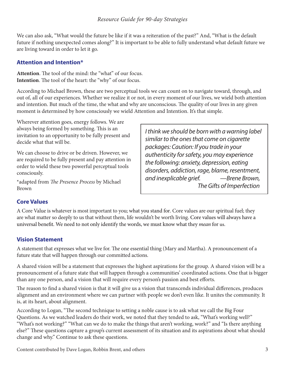We can also ask, "What would the future be like if it was a reiteration of the past?" And, "What is the default future if nothing unexpected comes along?" It is important to be able to fully understand what default future we are living toward in order to let it go.

#### **Attention and Intention\***

**Attention**. The tool of the mind: the "what" of our focus. **Intention**. The tool of the heart: the "why" of our focus.

According to Michael Brown, these are two perceptual tools we can count on to navigate toward, through, and out of, all of our experiences. Whether we realize it or not, in every moment of our lives, we wield both attention and intention. But much of the time, the what and why are unconscious. The quality of our lives in any given moment is determined by how consciously we wield Attention and Intention. It's that simple.

Wherever attention goes, energy follows. We are always being formed by something. This is an invitation to an opportunity to be fully present and decide what that will be.

We can choose to drive or be driven. However, we are required to be fully present and pay attention in order to wield these two powerful perceptual tools consciously.

\*adapted from *The Presence Process* by Michael Brown

*I think we should be born with a warning label similar to the ones that come on cigarette packages: Caution: If you trade in your authenticity for safety, you may experience the following: anxiety, depression, eating disorders, addiction, rage, blame, resentment, and inexplicable grief. —Brene Brown, The Gifts of Imperfection*

#### **Core Values**

A Core Value is whatever is most important to you; what you stand for. Core values are our spiritual fuel; they are what matter so deeply to us that without them, life wouldn't be worth living. Core values will always have a universal benefit. We need to not only identify the words, we must know what they *mean* for us.

#### **Vision Statement**

A statement that expresses what we live for. The one essential thing (Mary and Martha). A pronouncement of a future state that will happen through our committed actions.

A shared vision will be a statement that expresses the highest aspirations for the group. A shared vision will be a pronouncement of a future state that will happen through a communities' coordinated actions. One that is bigger than any one person, and a vision that will require every person's passion and best efforts.

The reason to find a shared vision is that it will give us a vision that transcends individual differences, produces alignment and an environment where we can partner with people we don't even like. It unites the community. It is, at its heart, about alignment.

According to Logan, "The second technique to setting a noble cause is to ask what we call the Big Four Questions. As we watched leaders do their work, we noted that they tended to ask, "What's working well?" "What's not working?" "What can we do to make the things that aren't working, work?" and "Is there anything else?" These questions capture a group's current assessment of its situation and its aspirations about what should change and why." Continue to ask these questions.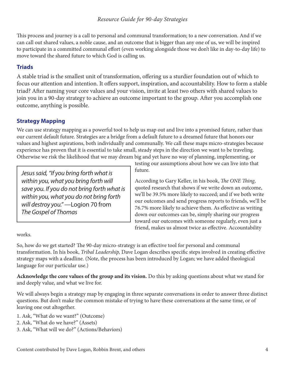This process and journey is a call to personal and communal transformation; to a new conversation. And if we can call out shared values, a noble cause, and an outcome that is bigger than any one of us, we will be inspired to participate in a committed communal effort (even working alongside those we don't like in day-to-day life) to move toward the shared future to which God is calling us.

#### **Triads**

A stable triad is the smallest unit of transformation, offering us a sturdier foundation out of which to focus our attention and intention. It offers support, inspiration, and accountability. How to form a stable triad? After naming your core values and your vision, invite at least two others with shared values to join you in a 90-day strategy to achieve an outcome important to the group. After you accomplish one outcome, anything is possible.

#### **Strategy Mapping**

We can use strategy mapping as a powerful tool to help us map out and live into a promised future, rather than our current default future. Strategies are a bridge from a default future to a dreamed future that honors our values and highest aspirations, both individually and communally. We call these maps micro-strategies because experience has proven that it is essential to take small, steady steps in the direction we want to be traveling. Otherwise we risk the likelihood that we may dream big and yet have no way of planning, implementing, or

*Jesus said, "If you bring forth what is within you, what you bring forth will save you. If you do not bring forth what is within you, what you do not bring forth will destroy you." —*Logion 70 from *The Gospel of Thomas* 

testing our assumptions about how we can live into that future.

According to Gary Keller, in his book, *The ONE Thing*, quoted research that shows if we write down an outcome, we'll be 39.5% more likely to succeed; and if we both write our outcomes and send progress reports to friends, we'll be 76.7% more likely to achieve them. As effective as writing down our outcomes can be, simply sharing our progress toward our outcomes with someone regularly, even just a friend, makes us almost twice as effective. Accountability

works.

So, how do we get started? The 90-day micro-strategy is an effective tool for personal and communal transformation. In his book, *Tribal Leadership*, Dave Logan describes specific steps involved in creating effective strategy maps with a deadline. (Note, the process has been introduced by Logan; we have added theological language for our particular use.)

**Acknowledge the core values of the group and its vision.** Do this by asking questions about what we stand for and deeply value, and what we live for.

We will always begin a strategy map by engaging in three separate conversations in order to answer three distinct questions. But don't make the common mistake of trying to have these conversations at the same time, or of leaving one out altogether.

1. Ask, "What do we want?" (Outcome)

- 2. Ask, "What do we have?" (Assets)
- 3. Ask, "What will we do?" (Actions/Behaviors)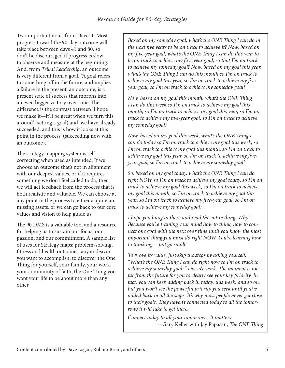Two important notes from Dave: 1. Most progress toward the 90-day outcome will take place between days 41 and 80, so don't be discouraged if progress is slow to observe and measure at the beginning. And, from *Tribal Leadership*, an outcome is very different from a goal. "A goal refers to something off in the future, and implies a failure in the present; an outcome, is a present state of success that morphs into an even bigger victory over time. The difference is the contrast between 'I hope we make it—it'll be great when we turn this around' (setting a goal) and 'we have already succeeded, and this is how it looks at this point in the process' (succeeding now with an outcome)."

The strategy mapping system is selfcorrecting when used as intended. If we choose an outcome that's not in alignment with our deepest values, or if it requires something we don't feel called to do, then we will get feedback from the process that is both realistic and valuable. We can choose at any point in the process to either acquire an missing assets, or we can go back to our core values and vision to help guide us.

The 90 DMS is a valuable tool and a resource for helping us to sustain our focus, our passion, and our commitment. A sample list of uses for Strategy maps: problem-solving; fitness and health outcomes; any endeavor you want to accomplish; to discover the One Thing for yourself, your family, your work, your community of faith, the One Thing you want your life to be about more than any other.

*Based on my someday goal, what's the ONE Thing I can do in the next five years to be on track to achieve it? Now, based on my five-year goal, what's the ONE Thing I can do this year to be on track to achieve my five-year goal, so that I'm on track to achieve my someday goal? Now, based on my goal this year,*  what's the ONE Thing I can do this month so I'm on track to achieve my goal this year, so I'm on track to achieve my five*year goal, so I'm on track to achieve my someday goal?* 

*Now, based on my goal this month, what's the ONE Thing I can do this week so I'm on track to achieve my goal this month, so I'm on track to achieve my goal this year, so I'm on track to achieve my five-year goal, so I'm on track to achieve my someday goal?* 

*Now, based on my goal this week, what's the ONE Thing I can do today so I'm on track to achieve my goal this week, so I'm on track to achieve my goal this month, so I'm on track to*  achieve my goal this year, so I'm on track to achieve my five*year goal, so I'm on track to achieve my someday goal?* 

*So, based on my goal today, what's the ONE Thing I can do right NOW so I'm on track to achieve my goal today, so I'm on track to achieve my goal this week, so I'm on track to achieve my goal this month, so I'm on track to achieve my goal this year, so I'm on track to achieve my five-year goal, so I'm on track to achieve my someday goal?* 

*I hope you hung in there and read the entire thing. Why? Because you're training your mind how to think, how to connect one goal with the next over time until you know the most important thing you must do right NOW. You're learning how to think big— but go small.* 

*To prove its value, just skip the steps by asking yourself,*  "What's the ONE Thing I can do right now so I'm on track to *achieve my someday goal?" Doesn't work. The moment is too far from the future for you to clearly see your key priority. In fact, you can keep adding back in today, this week, and so on, but you won't see the powerful priority you seek until you've added back in all the steps. It's why most people never get close*  to their goals. They haven't connected today to all the tomor*rows it will take to get there.* 

*Connect today to all your tomorrows. It matters.* -Gary Keller with Jay Papasan, *The ONE Thing*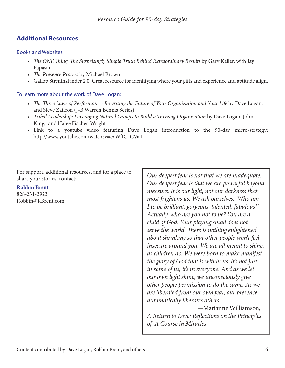#### **Additional Resources**

#### Books and Websites

- The ONE Thing: The Surprisingly Simple Truth Behind Extraordinary Results by Gary Keller, with Jay Papasan
- The Presence Process by Michael Brown
- Gallop StrenthsFinder 2.0: Great resource for identifying where your gifts and experience and aptitude align.

#### To learn more about the work of Dave Logan:

- The Three Laws of Performance: Rewriting the Future of Your Organization and Your Life by Dave Logan, and Steve Zaffron (J-B Warren Bennis Series)
- *Tribal Leadership: Leveraging Natural Groups to Build a Thriving Organization* by Dave Logan, John King, and Halee Fischer-Wright
- Link to a youtube video featuring Dave Logan introduction to the 90-day micro-strategy: http://www.youtube.com/watch?v=exWfICLCVa4

For support, additional resources, and for a place to share your stories, contact:

#### **Robbin Brent**

828-231-3923 Robbin@RBrent.com *Our deepest fear is not that we are inadequate. Our deepest fear is that we are powerful beyond measure. It is our light, not our darkness that most frightens us. We ask ourselves, 'Who am I to be brilliant, gorgeous, talented, fabulous?' Actually, who are you not to be? You are a child of God. Your playing small does not serve the world. There is nothing enlightened about shrinking so that other people won't feel insecure around you. We are all meant to shine, as children do. We were born to make manifest the glory of God that is within us. It's not just in some of us; it's in everyone. And as we let our own light shine, we unconsciously give other people permission to do the same. As we are liberated from our own fear, our presence automatically liberates others." —*Marianne Williamson,

A Return to Love: Reflections on the Principles *of A Course in Miracles*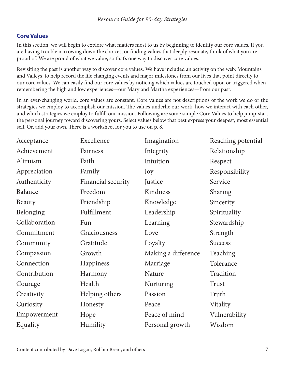#### **Core Values**

In this section, we will begin to explore what matters most to us by beginning to identify our core values. If you are having trouble narrowing down the choices, or finding values that deeply resonate, think of what you are proud of. We are proud of what we value, so that's one way to discover core values.

Revisiting the past is another way to discover core values. We have included an activity on the web: Mountains and Valleys, to help record the life changing events and major milestones from our lives that point directly to our core values. We can easily find our core values by noticing which values are touched upon or triggered when remembering the high and low experiences—our Mary and Martha experiences—from our past.

In an ever-changing world, core values are constant. Core values are not descriptions of the work we do or the strategies we employ to accomplish our mission. The values underlie our work, how we interact with each other, and which strategies we employ to fulfill our mission. Following are some sample Core Values to help jump-start the personal journey toward discovering yours. Select values below that best express your deepest, most essential self. Or, add your own. There is a worksheet for you to use on p. 8.

| Acceptance    | Excellence         | Imagination         | Reaching potential |
|---------------|--------------------|---------------------|--------------------|
| Achievement   | Fairness           | Integrity           | Relationship       |
| Altruism      | Faith              | Intuition           | Respect            |
| Appreciation  | Family             | Joy                 | Responsibility     |
| Authenticity  | Financial security | Justice             | Service            |
| Balance       | Freedom            | Kindness            | Sharing            |
| Beauty        | Friendship         | Knowledge           | Sincerity          |
| Belonging     | Fulfillment        | Leadership          | Spirituality       |
| Collaboration | Fun                | Learning            | Stewardship        |
| Commitment    | Graciousness       | Love                | Strength           |
| Community     | Gratitude          | Loyalty             | <b>Success</b>     |
| Compassion    | Growth             | Making a difference | Teaching           |
| Connection    | Happiness          | Marriage            | Tolerance          |
| Contribution  | Harmony            | Nature              | Tradition          |
| Courage       | Health             | Nurturing           | Trust              |
| Creativity    | Helping others     | Passion             | Truth              |
| Curiosity     | Honesty            | Peace               | Vitality           |
| Empowerment   | Hope               | Peace of mind       | Vulnerability      |
| Equality      | Humility           | Personal growth     | Wisdom             |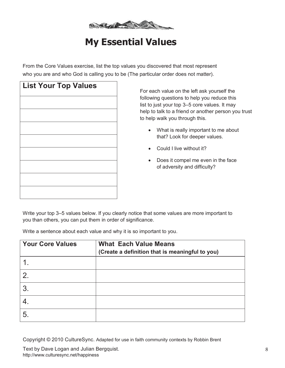

# **My Essential Values**

From the Core Values exercise, list the top values you discovered that most represent who you are and who God is calling you to be (The particular order does not matter).

| <b>List Your Top Values</b> |  |  |
|-----------------------------|--|--|
|                             |  |  |
|                             |  |  |
|                             |  |  |
|                             |  |  |
|                             |  |  |
|                             |  |  |
|                             |  |  |
|                             |  |  |

For each value on the left ask yourself the following questions to help you reduce this list to just your top 3–5 core values. It may help to talk to a friend or another person you trust to help walk you through this.

- What is really important to me about that? Look for deeper values.
- Could I live without it?
- Does it compel me even in the face of adversity and difficulty?

Write your top 3–5 values below. If you clearly notice that some values are more important to you than others, you can put them in order of significance.

Write a sentence about each value and why it is so important to you.

| <b>Your Core Values</b> | <b>What Each Value Means</b><br>(Create a definition that is meaningful to you) |
|-------------------------|---------------------------------------------------------------------------------|
|                         |                                                                                 |
| 2 <sub>1</sub>          |                                                                                 |
| 3.                      |                                                                                 |
|                         |                                                                                 |
| 5 <sub>1</sub>          |                                                                                 |

Copyright © 2010 CultureSync. Adapted for use in faith community contexts by Robbin Brent

Text by Dave Logan and Julian Bergquist. http://www.culturesync.net/happiness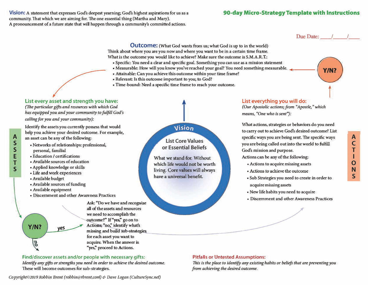**Vision: A statement that expresses God's deepe<sup>s</sup>t yearning; God's highest aspirations for us as a community. That which we are aiming for. The one essential thing (Martha and Mary). A pronouncement of a future state that will happen through a community's committed actions.** 

#### **90-day Micro-Strategy Template with Instructions**

Due Date:

**Outcome:** (What God wants from us; what God is up to in the world) **Think about where you are you now and where you want to be in a certain time frame.** 

- **• Specific: You need a dear and specific goal. Something you can use as a mission statement**
- Measurable: How will you know you've reached your goal? You need something measurable.  $\left\{\gamma / N\right\}$
- **• Attainable: Can you achieve this outcome within your time frame?**
- Relevant: Is this outcome important to you; to God?
- $\bullet$  Time-bound: Need a specific time frame to reach your outcome.

### **List every asset and strength you have:**

*(The particular gifts and resources with which God*  **List every asset and strength you have:**<br>
(The particular gifts and resources with which God (Our Apostolic actions, from "Apost<br>
has equipped you and your community to fulfill God's (Our Apostolic actions, from "Apost<br>
c *calling for you and your community):* 

**Identify the assets you currently possess that would help you achieve your desired outcome. For example, an asset can be any of the following:** 

- **• Nenvorks of relationships: professional, personal, familial**
- **• Education / certifications**
- **• Available sources of education**
- **• Applied knowledge or skills**
- **• Life and work experiences**
- **• Available budget**

**�** 

Y/N?

**A**  s s **E T**  s

- **• Available sources of funding**
- **• Available equipment**
- **• Discer<sup>n</sup>ment and other Awareness Practices**

**�**  ves

**Ask: "Do we have and recognize all of the assets and resources we need to accomplish the outcome?" If"yes," go on to Actions; �no;' identify what's missing and build sub=strategies for each asset you want to acquire. When the answer is "yes," proceed to Actions.** 

#### **Find/discover assets and/or people with necessary gifts:**

*Copyright©2019 Robbin Brent (robbin@rbrent.com) & Dave Logan (CultureSync.net)*

Identify any gifts or strengths you need in order to achieve the desired outcome. **These w ll become outcomes for sub-strategies. i**

**List Core Values or Essential Beliefs** 

**What we stand for. Without which life would not be worth living. Core values will always have a universal benefit.** 

*(Our Apostolic actions; from "Apostle," which means, "One who is sent"):* 

**What actions, strategies or behaviors do you need to carry out to achieve God's desired outcome? List specific ways you are being sent. The specific ways you are being called out into the world to fulfill God's mission and purpose.** 

- **Actions can be any of the following:**
- **• Actions to acquire missing assets**
- Actions to achieve the outcome
- **• Sub Strategies you need to create in order to acquire missing assets**
- **• New life habits you need to acquire**
- **• Discernment and other Awareness Practices**

#### **Pitfalls or Untested Assumptions:**

*This is the place to identify any existing habits or beliefs that are preventing you from achieving the desired outcome.*